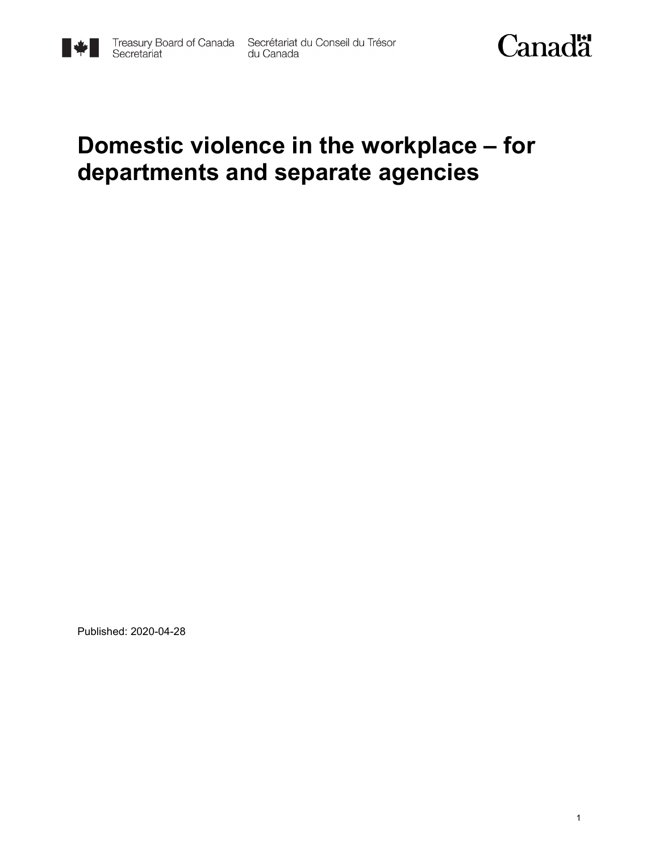



### **Domestic violence in the workplace – for departments and separate agencies**

Published: 2020-04-28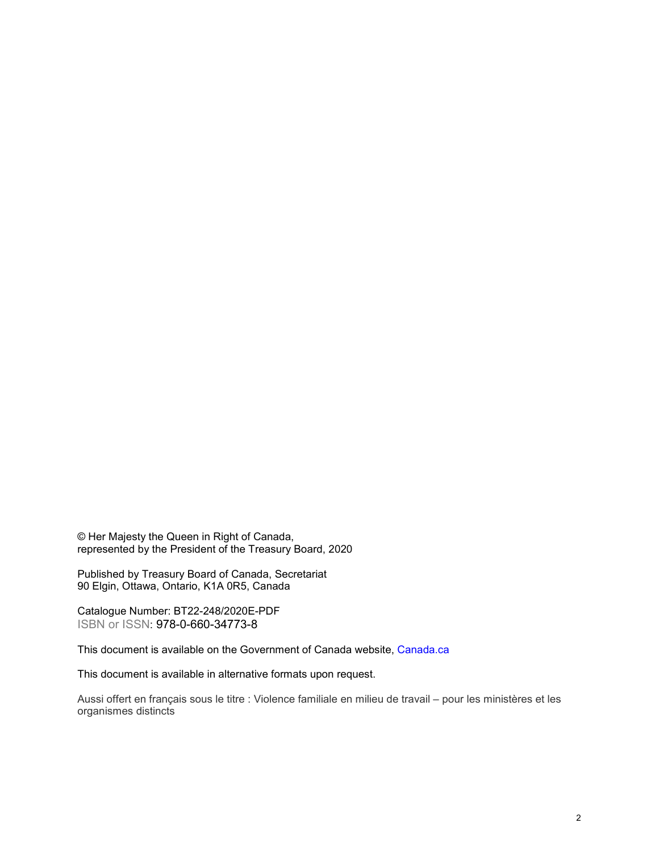© Her Majesty the Queen in Right of Canada, represented by the President of the Treasury Board, 2020

Published by Treasury Board of Canada, Secretariat 90 Elgin, Ottawa, Ontario, K1A 0R5, Canada

Catalogue Number: BT22-248/2020E-PDF ISBN or ISSN: 978-0-660-34773-8

This document is available on the Government of Canada website, [Canada.](https://www.canada.ca/en.html)ca

This document is available in alternative formats upon request.

Aussi offert en français sous le titre : Violence familiale en milieu de travail – pour les ministères et les organismes distincts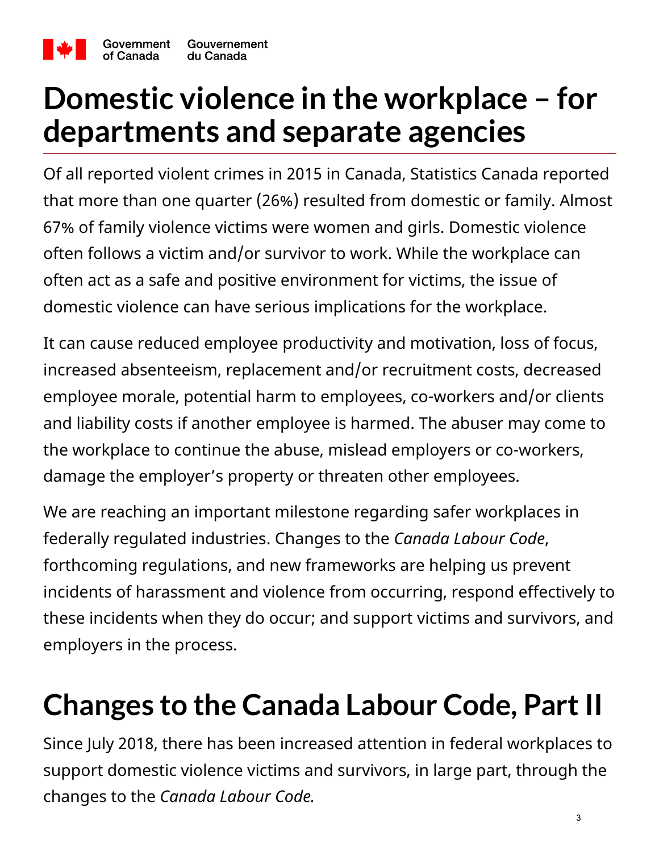

## **Domestic violence in the workplace – for departments and separate agencies**

Of all reported violent crimes in 2015 in Canada, Statistics Canada reported that more than one quarter (26%) resulted from domestic or family. Almost 67% of family violence victims were women and girls. Domestic violence often follows a victim and/or survivor to work. While the workplace can often act as a safe and positive environment for victims, the issue of domestic violence can have serious implications for the workplace.

It can cause reduced employee productivity and motivation, loss of focus, increased absenteeism, replacement and/or recruitment costs, decreased employee morale, potential harm to employees, co-workers and/or clients and liability costs if another employee is harmed. The abuser may come to the workplace to continue the abuse, mislead employers or co-workers, damage the employer's property or threaten other employees.

We are reaching an important milestone regarding safer workplaces in federally regulated industries. Changes to the *Canada Labour Code*, forthcoming regulations, and new frameworks are helping us prevent incidents of harassment and violence from occurring, respond effectively to these incidents when they do occur; and support victims and survivors, and employers in the process.

## **Changes to the Canada Labour Code, Part II**

Since July 2018, there has been increased attention in federal workplaces to support domestic violence victims and survivors, in large part, through the changes to the *Canada Labour Code.*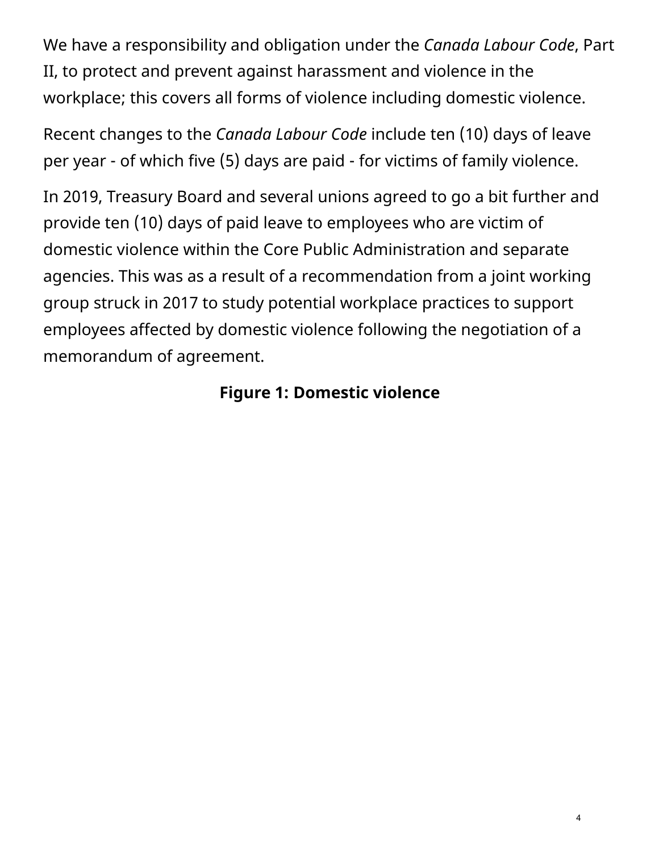We have a responsibility and obligation under the *Canada Labour Code*, Part II, to protect and prevent against harassment and violence in the workplace; this covers all forms of violence including domestic violence.

Recent changes to the *Canada Labour Code* include ten (10) days of leave per year - of which five (5) days are paid - for victims of family violence.

In 2019, Treasury Board and several unions agreed to go a bit further and provide ten (10) days of paid leave to employees who are victim of domestic violence within the Core Public Administration and separate agencies. This was as a result of a recommendation from a joint working group struck in 2017 to study potential workplace practices to support employees affected by domestic violence following the negotiation of a memorandum of agreement.

#### **Figure 1: Domestic violence**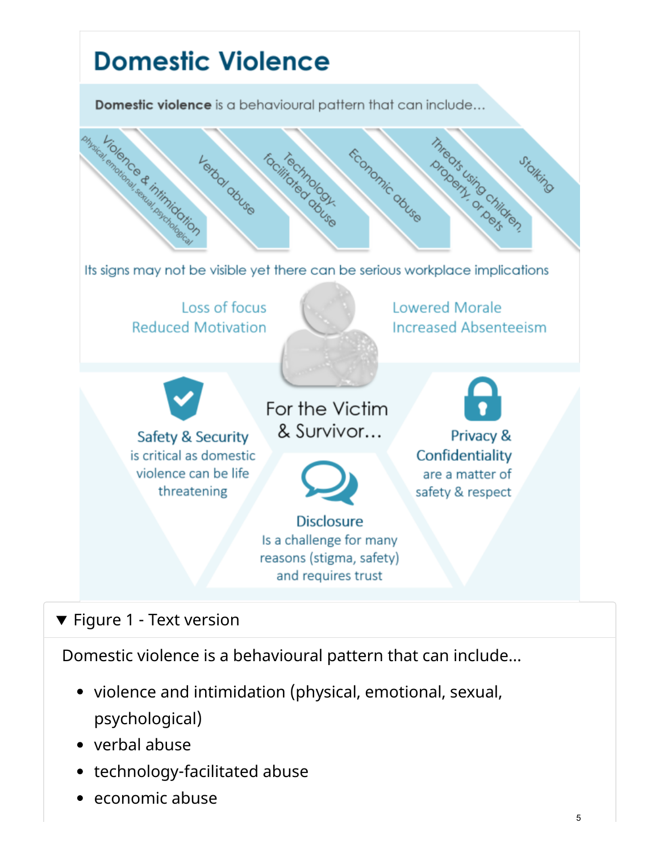

#### ▼ Figure 1 - Text version

Domestic violence is a behavioural pattern that can include…

- violence and intimidation (physical, emotional, sexual, psychological)
- verbal abuse
- technology-facilitated abuse
- economic abuse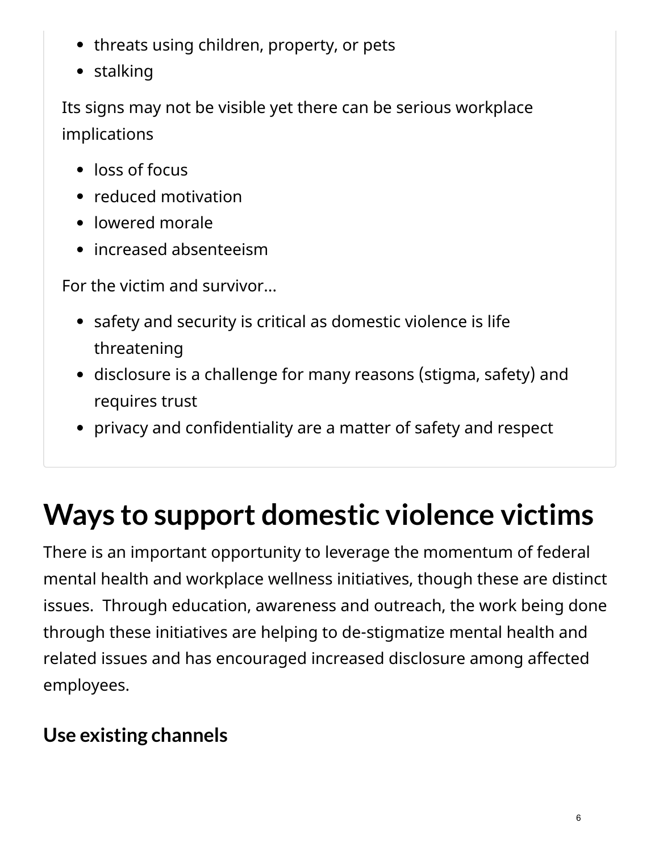- threats using children, property, or pets
- stalking

Its signs may not be visible yet there can be serious workplace implications

- loss of focus
- reduced motivation
- lowered morale
- increased absenteeism

For the victim and survivor…

- safety and security is critical as domestic violence is life threatening
- disclosure is a challenge for many reasons (stigma, safety) and requires trust
- privacy and confidentiality are a matter of safety and respect

## **Ways to support domestic violence victims**

There is an important opportunity to leverage the momentum of federal mental health and workplace wellness initiatives, though these are distinct issues. Through education, awareness and outreach, the work being done through these initiatives are helping to de-stigmatize mental health and related issues and has encouraged increased disclosure among affected employees.

#### **Use existing channels**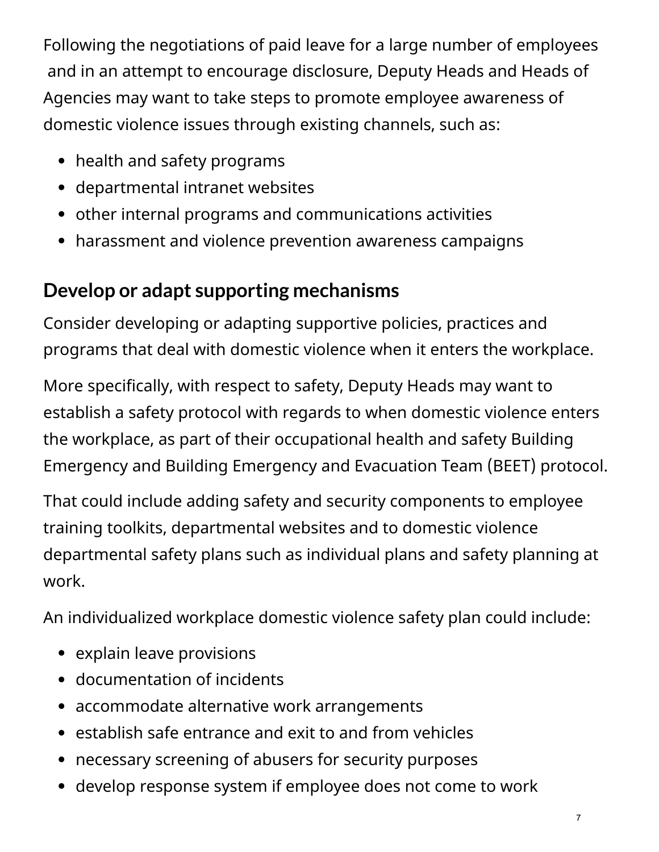Following the negotiations of paid leave for a large number of employees and in an attempt to encourage disclosure, Deputy Heads and Heads of Agencies may want to take steps to promote employee awareness of domestic violence issues through existing channels, such as:

- health and safety programs
- departmental intranet websites
- other internal programs and communications activities
- harassment and violence prevention awareness campaigns

#### **Develop or adapt supporting mechanisms**

Consider developing or adapting supportive policies, practices and programs that deal with domestic violence when it enters the workplace.

More specifically, with respect to safety, Deputy Heads may want to establish a safety protocol with regards to when domestic violence enters the workplace, as part of their occupational health and safety Building Emergency and Building Emergency and Evacuation Team (BEET) protocol.

That could include adding safety and security components to employee training toolkits, departmental websites and to domestic violence departmental safety plans such as individual plans and safety planning at work.

An individualized workplace domestic violence safety plan could include:

- explain leave provisions
- documentation of incidents
- accommodate alternative work arrangements
- establish safe entrance and exit to and from vehicles
- necessary screening of abusers for security purposes
- develop response system if employee does not come to work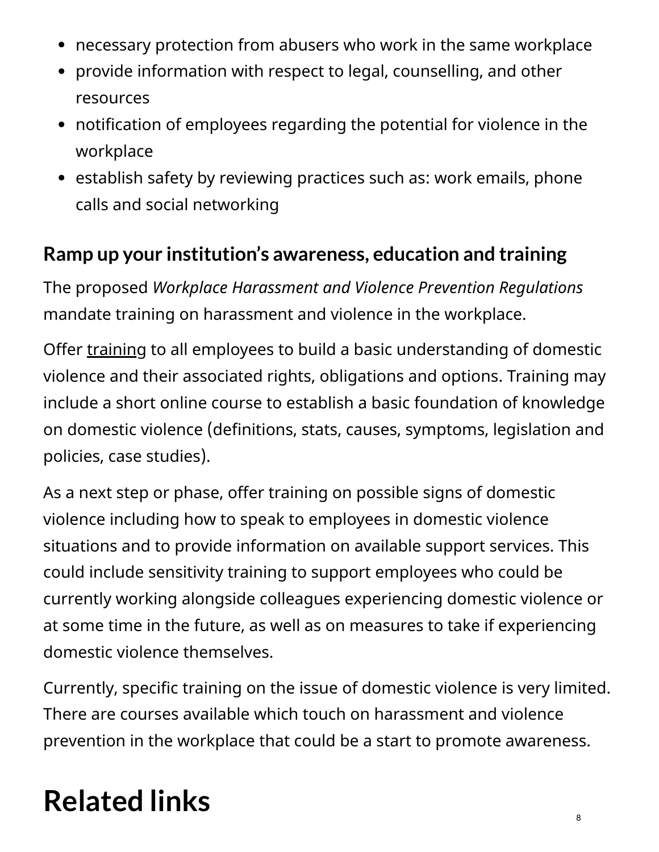- necessary protection from abusers who work in the same workplace
- provide information with respect to legal, counselling, and other resources
- notification of employees regarding the potential for violence in the workplace
- establish safety by reviewing practices such as: work emails, phone calls and social networking

#### **Ramp up your institution's awareness, education and training**

The proposed *Workplace Harassment and Violence Prevention Regulations* mandate training on harassment and violence in the workplace.

Offer [training](https://canada-preview.adobecqms.net/en/government/publicservice/wellness-inclusion-diversity-public-service/harassment-conflict-resolution/support-training-guides-domestic-violence-workplace.html#training) to all employees to build a basic understanding of domestic violence and their associated rights, obligations and options. Training may include a short online course to establish a basic foundation of knowledge on domestic violence (definitions, stats, causes, symptoms, legislation and policies, case studies).

As a next step or phase, offer training on possible signs of domestic violence including how to speak to employees in domestic violence situations and to provide information on available support services. This could include sensitivity training to support employees who could be currently working alongside colleagues experiencing domestic violence or at some time in the future, as well as on measures to take if experiencing domestic violence themselves.

Currently, specific training on the issue of domestic violence is very limited. There are courses available which touch on harassment and violence prevention in the workplace that could be a start to promote awareness.

# **Related links**